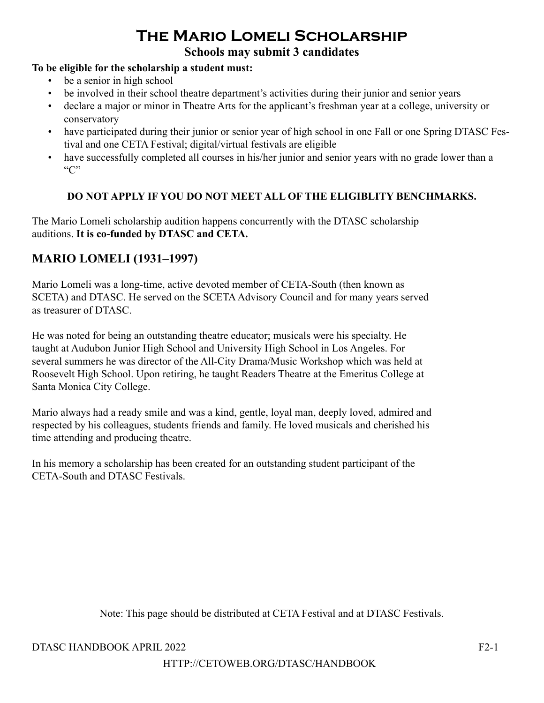# **The Mario Lomeli Scholarship**

# **Schools may submit 3 candidates**

#### **To be eligible for the scholarship a student must:**

- be a senior in high school
- be involved in their school theatre department's activities during their junior and senior years
- declare a major or minor in Theatre Arts for the applicant's freshman year at a college, university or conservatory
- have participated during their junior or senior year of high school in one Fall or one Spring DTASC Festival and one CETA Festival; digital/virtual festivals are eligible
- have successfully completed all courses in his/her junior and senior years with no grade lower than a  $C$ "

#### **DO NOT APPLY IF YOU DO NOT MEET ALL OF THE ELIGIBLITY BENCHMARKS.**

The Mario Lomeli scholarship audition happens concurrently with the DTASC scholarship auditions. **It is co-funded by DTASC and CETA.**

# **MARIO LOMELI (1931–1997)**

Mario Lomeli was a long-time, active devoted member of CETA-South (then known as SCETA) and DTASC. He served on the SCETA Advisory Council and for many years served as treasurer of DTASC.

He was noted for being an outstanding theatre educator; musicals were his specialty. He taught at Audubon Junior High School and University High School in Los Angeles. For several summers he was director of the All-City Drama/Music Workshop which was held at Roosevelt High School. Upon retiring, he taught Readers Theatre at the Emeritus College at Santa Monica City College.

Mario always had a ready smile and was a kind, gentle, loyal man, deeply loved, admired and respected by his colleagues, students friends and family. He loved musicals and cherished his time attending and producing theatre.

In his memory a scholarship has been created for an outstanding student participant of the CETA-South and DTASC Festivals.

Note: This page should be distributed at CETA Festival and at DTASC Festivals.

#### DTASC HANDBOOK APRIL 2022 F2-1

#### HTTP://CETOWEB.ORG/DTASC/HANDBOOK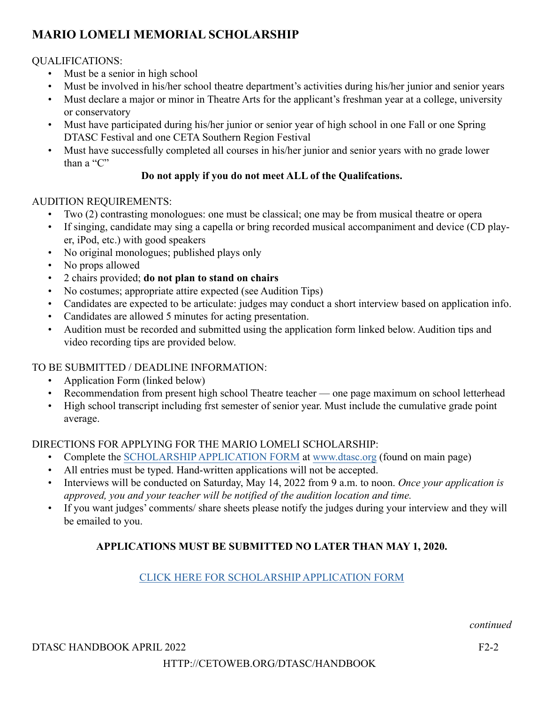# **MARIO LOMELI MEMORIAL SCHOLARSHIP**

### QUALIFICATIONS:

- Must be a senior in high school
- Must be involved in his/her school theatre department's activities during his/her junior and senior years
- Must declare a major or minor in Theatre Arts for the applicant's freshman year at a college, university or conservatory
- Must have participated during his/her junior or senior year of high school in one Fall or one Spring DTASC Festival and one CETA Southern Region Festival
- Must have successfully completed all courses in his/her junior and senior years with no grade lower than a "C"

### **Do not apply if you do not meet ALL of the Qualifcations.**

#### AUDITION REQUIREMENTS:

- Two (2) contrasting monologues: one must be classical; one may be from musical theatre or opera
- If singing, candidate may sing a capella or bring recorded musical accompaniment and device (CD player, iPod, etc.) with good speakers
- No original monologues; published plays only
- No props allowed
- 2 chairs provided; **do not plan to stand on chairs**
- No costumes; appropriate attire expected (see Audition Tips)
- Candidates are expected to be articulate: judges may conduct a short interview based on application info.
- Candidates are allowed 5 minutes for acting presentation.
- Audition must be recorded and submitted using the application form linked below. Audition tips and video recording tips are provided below.

# TO BE SUBMITTED / DEADLINE INFORMATION:

- Application Form (linked below)
- Recommendation from present high school Theatre teacher one page maximum on school letterhead
- High school transcript including frst semester of senior year. Must include the cumulative grade point average.

# DIRECTIONS FOR APPLYING FOR THE MARIO LOMELI SCHOLARSHIP:

- Complete the [SCHOLARSHIP APPLICATION FORM](https://docs.google.com/forms/d/e/1FAIpQLSdpS1HGI7bzQfX0c4eVWY5r_mDi7IwI0_BIsPPWh86iEGouYA/formResponse) at [www.dtasc.org](http://www.dtasc.org) (found on main page)
- All entries must be typed. Hand-written applications will not be accepted.
- Interviews will be conducted on Saturday, May 14, 2022 from 9 a.m. to noon. *Once your application is approved, you and your teacher will be notified of the audition location and time.*
- If you want judges' comments/ share sheets please notify the judges during your interview and they will be emailed to you.

# **APPLICATIONS MUST BE SUBMITTED NO LATER THAN MAY 1, 2020.**

#### [CLICK HERE FOR SCHOLARSHIP APPLICATION FORM](https://docs.google.com/forms/d/e/1FAIpQLSdpS1HGI7bzQfX0c4eVWY5r_mDi7IwI0_BIsPPWh86iEGouYA/formResponse)

*continued*

#### DTASC HANDBOOK APRIL 2022 F2-2

# HTTP://CETOWEB.ORG/DTASC/HANDBOOK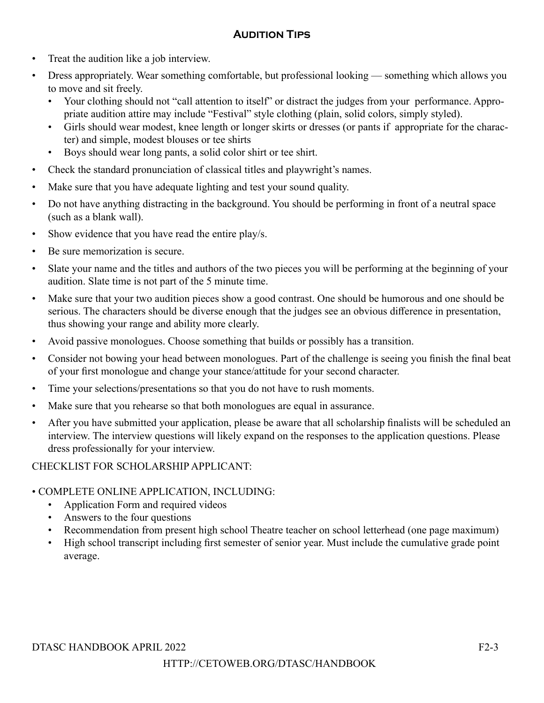### **Audition Tips**

- Treat the audition like a job interview.
- Dress appropriately. Wear something comfortable, but professional looking something which allows you to move and sit freely.
	- Your clothing should not "call attention to itself" or distract the judges from your performance. Appropriate audition attire may include "Festival" style clothing (plain, solid colors, simply styled).
	- Girls should wear modest, knee length or longer skirts or dresses (or pants if appropriate for the character) and simple, modest blouses or tee shirts
	- Boys should wear long pants, a solid color shirt or tee shirt.
- Check the standard pronunciation of classical titles and playwright's names.
- Make sure that you have adequate lighting and test your sound quality.
- Do not have anything distracting in the background. You should be performing in front of a neutral space (such as a blank wall).
- Show evidence that you have read the entire play/s.
- Be sure memorization is secure.
- Slate your name and the titles and authors of the two pieces you will be performing at the beginning of your audition. Slate time is not part of the 5 minute time.
- Make sure that your two audition pieces show a good contrast. One should be humorous and one should be serious. The characters should be diverse enough that the judges see an obvious difference in presentation, thus showing your range and ability more clearly.
- Avoid passive monologues. Choose something that builds or possibly has a transition.
- Consider not bowing your head between monologues. Part of the challenge is seeing you finish the final beat of your first monologue and change your stance/attitude for your second character.
- Time your selections/presentations so that you do not have to rush moments.
- Make sure that you rehearse so that both monologues are equal in assurance.
- After you have submitted your application, please be aware that all scholarship finalists will be scheduled an interview. The interview questions will likely expand on the responses to the application questions. Please dress professionally for your interview.

CHECKLIST FOR SCHOLARSHIP APPLICANT:

#### • COMPLETE ONLINE APPLICATION, INCLUDING:

- Application Form and required videos
- Answers to the four questions
- Recommendation from present high school Theatre teacher on school letterhead (one page maximum)
- High school transcript including first semester of senior year. Must include the cumulative grade point average.